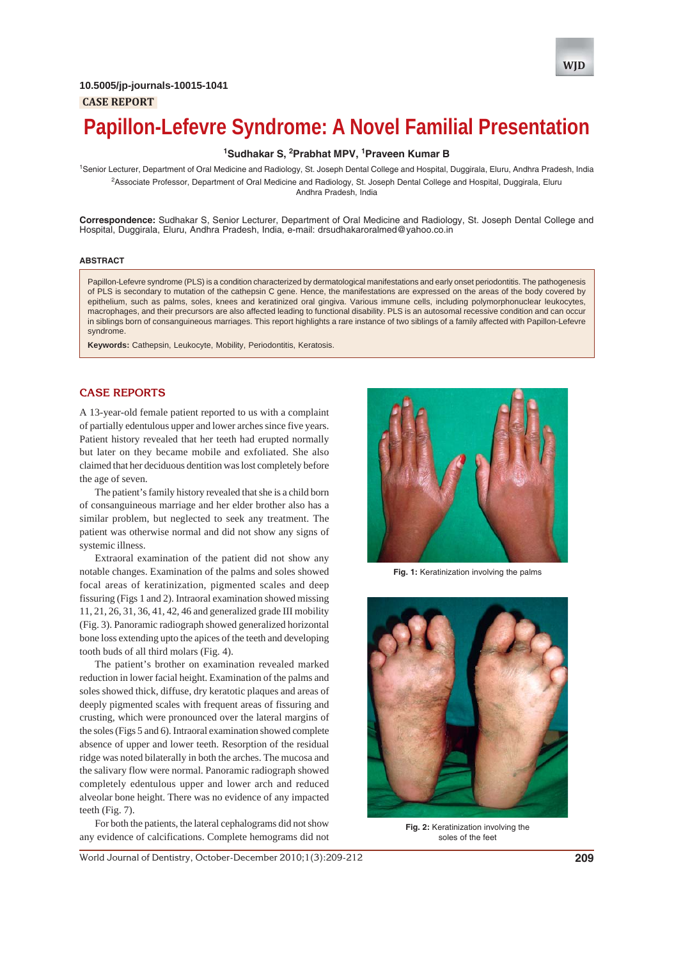

# **Papillon-Lefevre Syndrome: A Novel Familial Presentation**

# **1 Sudhakar S, 2 Prabhat MPV, 1 Praveen Kumar B**

<sup>1</sup>Senior Lecturer, Department of Oral Medicine and Radiology, St. Joseph Dental College and Hospital, Duggirala, Eluru, Andhra Pradesh, India 2 Associate Professor, Department of Oral Medicine and Radiology, St. Joseph Dental College and Hospital, Duggirala, Eluru Andhra Pradesh, India

**Correspondence:** Sudhakar S, Senior Lecturer, Department of Oral Medicine and Radiology, St. Joseph Dental College and Hospital, Duggirala, Eluru, Andhra Pradesh, India, e-mail: drsudhakaroralmed@yahoo.co.in

#### **ABSTRACT**

Papillon-Lefevre syndrome (PLS) is a condition characterized by dermatological manifestations and early onset periodontitis. The pathogenesis of PLS is secondary to mutation of the cathepsin C gene. Hence, the manifestations are expressed on the areas of the body covered by epithelium, such as palms, soles, knees and keratinized oral gingiva. Various immune cells, including polymorphonuclear leukocytes, macrophages, and their precursors are also affected leading to functional disability. PLS is an autosomal recessive condition and can occur in siblings born of consanguineous marriages. This report highlights a rare instance of two siblings of a family affected with Papillon-Lefevre syndrome.

**Keywords:** Cathepsin, Leukocyte, Mobility, Periodontitis, Keratosis.

# **CASE REPORTS**

A 13-year-old female patient reported to us with a complaint of partially edentulous upper and lower arches since five years. Patient history revealed that her teeth had erupted normally but later on they became mobile and exfoliated. She also claimed that her deciduous dentition was lost completely before the age of seven.

The patient's family history revealed that she is a child born of consanguineous marriage and her elder brother also has a similar problem, but neglected to seek any treatment. The patient was otherwise normal and did not show any signs of systemic illness.

Extraoral examination of the patient did not show any notable changes. Examination of the palms and soles showed focal areas of keratinization, pigmented scales and deep fissuring (Figs 1 and 2). Intraoral examination showed missing 11, 21, 26, 31, 36, 41, 42, 46 and generalized grade III mobility (Fig. 3). Panoramic radiograph showed generalized horizontal bone loss extending upto the apices of the teeth and developing tooth buds of all third molars (Fig. 4).

The patient's brother on examination revealed marked reduction in lower facial height. Examination of the palms and soles showed thick, diffuse, dry keratotic plaques and areas of deeply pigmented scales with frequent areas of fissuring and crusting, which were pronounced over the lateral margins of the soles (Figs 5 and 6). Intraoral examination showed complete absence of upper and lower teeth. Resorption of the residual ridge was noted bilaterally in both the arches. The mucosa and the salivary flow were normal. Panoramic radiograph showed completely edentulous upper and lower arch and reduced alveolar bone height. There was no evidence of any impacted teeth (Fig. 7).

For both the patients, the lateral cephalograms did not show any evidence of calcifications. Complete hemograms did not



**Fig. 1:** Keratinization involving the palms



**Fig. 2:** Keratinization involving the soles of the feet

World Journal of Dentistry, October-December 2010;1(3):209-212 **209**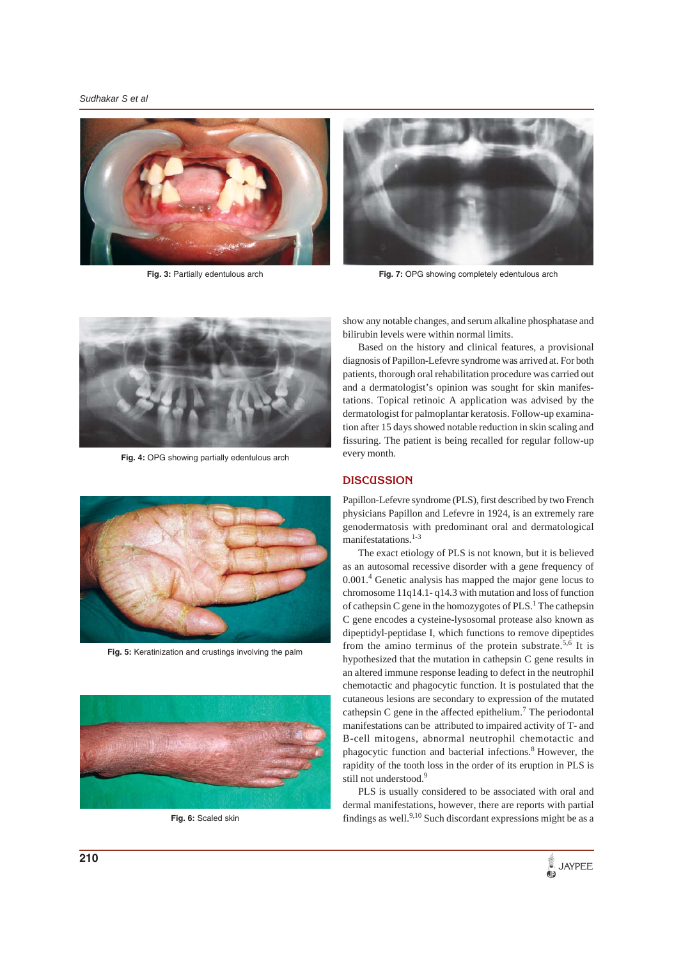*Sudhakar S et al*



**Fig. 3:** Partially edentulous arch



**Fig. 7:** OPG showing completely edentulous arch



**Fig. 4:** OPG showing partially edentulous arch



**Fig. 5:** Keratinization and crustings involving the palm



**Fig. 6:** Scaled skin

show any notable changes, and serum alkaline phosphatase and bilirubin levels were within normal limits.

Based on the history and clinical features, a provisional diagnosis of Papillon-Lefevre syndrome was arrived at. For both patients, thorough oral rehabilitation procedure was carried out and a dermatologist's opinion was sought for skin manifestations. Topical retinoic A application was advised by the dermatologist for palmoplantar keratosis. Follow-up examination after 15 days showed notable reduction in skin scaling and fissuring. The patient is being recalled for regular follow-up every month.

### **DISCUSSION**

Papillon-Lefevre syndrome (PLS), first described by two French physicians Papillon and Lefevre in 1924, is an extremely rare genodermatosis with predominant oral and dermatological manifestatations.<sup>1-3</sup>

The exact etiology of PLS is not known, but it is believed as an autosomal recessive disorder with a gene frequency of 0.001.<sup>4</sup> Genetic analysis has mapped the major gene locus to chromosome 11q14.1- q14.3 with mutation and loss of function of cathepsin C gene in the homozygotes of  $PLS<sup>1</sup>$ . The cathepsin C gene encodes a cysteine-lysosomal protease also known as dipeptidyl-peptidase I, which functions to remove dipeptides from the amino terminus of the protein substrate.<sup>5,6</sup> It is hypothesized that the mutation in cathepsin C gene results in an altered immune response leading to defect in the neutrophil chemotactic and phagocytic function. It is postulated that the cutaneous lesions are secondary to expression of the mutated cathepsin C gene in the affected epithelium.<sup>7</sup> The periodontal manifestations can be attributed to impaired activity of T- and B-cell mitogens, abnormal neutrophil chemotactic and phagocytic function and bacterial infections.8 However, the rapidity of the tooth loss in the order of its eruption in PLS is still not understood.<sup>9</sup>

PLS is usually considered to be associated with oral and dermal manifestations, however, there are reports with partial findings as well. $9,10$  Such discordant expressions might be as a

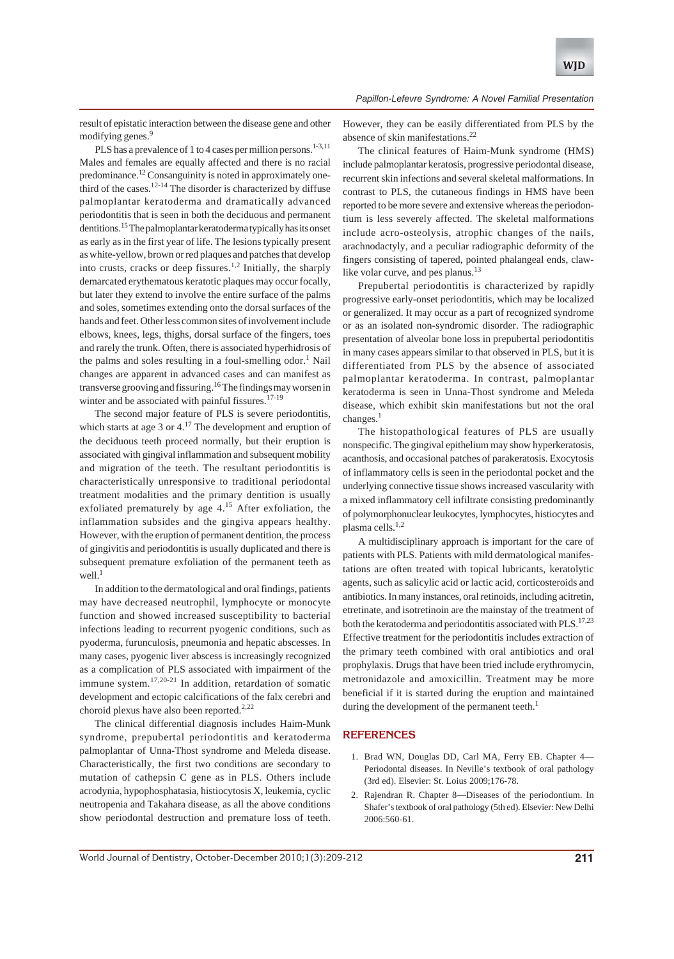result of epistatic interaction between the disease gene and other modifying genes.<sup>9</sup>

PLS has a prevalence of 1 to 4 cases per million persons.<sup>1-3,11</sup> Males and females are equally affected and there is no racial predominance.<sup>12</sup> Consanguinity is noted in approximately onethird of the cases.<sup>12-14</sup> The disorder is characterized by diffuse palmoplantar keratoderma and dramatically advanced periodontitis that is seen in both the deciduous and permanent dentitions.15 The palmoplantar keratoderma typically has its onset as early as in the first year of life. The lesions typically present as white-yellow, brown or red plaques and patches that develop into crusts, cracks or deep fissures.<sup>1,2</sup> Initially, the sharply demarcated erythematous keratotic plaques may occur focally, but later they extend to involve the entire surface of the palms and soles, sometimes extending onto the dorsal surfaces of the hands and feet. Other less common sites of involvement include elbows, knees, legs, thighs, dorsal surface of the fingers, toes and rarely the trunk. Often, there is associated hyperhidrosis of the palms and soles resulting in a foul-smelling odor.<sup>1</sup> Nail changes are apparent in advanced cases and can manifest as transverse grooving and fissuring.16 The findings may worsen in winter and be associated with painful fissures.<sup>17-19</sup>

The second major feature of PLS is severe periodontitis, which starts at age 3 or  $4.17$  The development and eruption of the deciduous teeth proceed normally, but their eruption is associated with gingival inflammation and subsequent mobility and migration of the teeth. The resultant periodontitis is characteristically unresponsive to traditional periodontal treatment modalities and the primary dentition is usually exfoliated prematurely by age  $4<sup>15</sup>$ . After exfoliation, the inflammation subsides and the gingiva appears healthy. However, with the eruption of permanent dentition, the process of gingivitis and periodontitis is usually duplicated and there is subsequent premature exfoliation of the permanent teeth as well. $<sup>1</sup>$ </sup>

In addition to the dermatological and oral findings, patients may have decreased neutrophil, lymphocyte or monocyte function and showed increased susceptibility to bacterial infections leading to recurrent pyogenic conditions, such as pyoderma, furunculosis, pneumonia and hepatic abscesses. In many cases, pyogenic liver abscess is increasingly recognized as a complication of PLS associated with impairment of the immune system.17,20-21 In addition, retardation of somatic development and ectopic calcifications of the falx cerebri and choroid plexus have also been reported. $2,22$ 

The clinical differential diagnosis includes Haim-Munk syndrome, prepubertal periodontitis and keratoderma palmoplantar of Unna-Thost syndrome and Meleda disease. Characteristically, the first two conditions are secondary to mutation of cathepsin C gene as in PLS. Others include acrodynia, hypophosphatasia, histiocytosis X, leukemia, cyclic neutropenia and Takahara disease, as all the above conditions show periodontal destruction and premature loss of teeth.

However, they can be easily differentiated from PLS by the absence of skin manifestations.22

The clinical features of Haim-Munk syndrome (HMS) include palmoplantar keratosis, progressive periodontal disease, recurrent skin infections and several skeletal malformations. In contrast to PLS, the cutaneous findings in HMS have been reported to be more severe and extensive whereas the periodontium is less severely affected. The skeletal malformations include acro-osteolysis, atrophic changes of the nails, arachnodactyly, and a peculiar radiographic deformity of the fingers consisting of tapered, pointed phalangeal ends, clawlike volar curve, and pes planus.<sup>13</sup>

Prepubertal periodontitis is characterized by rapidly progressive early-onset periodontitis, which may be localized or generalized. It may occur as a part of recognized syndrome or as an isolated non-syndromic disorder. The radiographic presentation of alveolar bone loss in prepubertal periodontitis in many cases appears similar to that observed in PLS, but it is differentiated from PLS by the absence of associated palmoplantar keratoderma. In contrast, palmoplantar keratoderma is seen in Unna-Thost syndrome and Meleda disease, which exhibit skin manifestations but not the oral changes.<sup>1</sup>

The histopathological features of PLS are usually nonspecific. The gingival epithelium may show hyperkeratosis, acanthosis, and occasional patches of parakeratosis. Exocytosis of inflammatory cells is seen in the periodontal pocket and the underlying connective tissue shows increased vascularity with a mixed inflammatory cell infiltrate consisting predominantly of polymorphonuclear leukocytes, lymphocytes, histiocytes and plasma cells.1,2

A multidisciplinary approach is important for the care of patients with PLS. Patients with mild dermatological manifestations are often treated with topical lubricants, keratolytic agents, such as salicylic acid or lactic acid, corticosteroids and antibiotics. In many instances, oral retinoids, including acitretin, etretinate, and isotretinoin are the mainstay of the treatment of both the keratoderma and periodontitis associated with PLS.<sup>17,23</sup> Effective treatment for the periodontitis includes extraction of the primary teeth combined with oral antibiotics and oral prophylaxis. Drugs that have been tried include erythromycin, metronidazole and amoxicillin. Treatment may be more beneficial if it is started during the eruption and maintained during the development of the permanent teeth. $<sup>1</sup>$ </sup>

# **REFERENCES**

- 1. Brad WN, Douglas DD, Carl MA, Ferry EB. Chapter 4— Periodontal diseases. In Neville's textbook of oral pathology (3rd ed). Elsevier: St. Loius 2009;176-78.
- 2. Rajendran R. Chapter 8—Diseases of the periodontium. In Shafer's textbook of oral pathology (5th ed). Elsevier: New Delhi 2006:560-61.